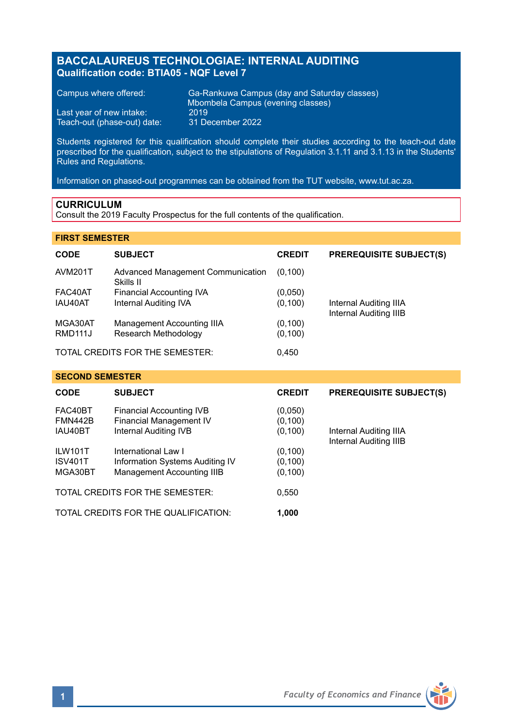# **BACCALAUREUS TECHNOLOGIAE: INTERNAL AUDITING Qualification code: BTIA05 - NQF Level 7**

Teach-out (phase-out) date:

Campus where offered: Ga-Rankuwa Campus (day and Saturday classes) Mbombela Campus (evening classes)<br>2019 Last year of new intake: 2019<br>Teach-out (phase-out) date: 31 December 2022

Students registered for this qualification should complete their studies according to the teach-out date prescribed for the qualification, subject to the stipulations of Regulation 3.1.11 and 3.1.13 in the Students' Rules and Regulations.

Information on phased-out programmes can be obtained from the TUT website, www.tut.ac.za.

### **CURRICULUM**

Consult the 2019 Faculty Prospectus for the full contents of the qualification.

### **FIRST SEMESTER**

| <b>CODE</b>                     | <b>SUBJECT</b>                                 | <b>CREDIT</b> | <b>PREREQUISITE SUBJECT(S)</b>                   |
|---------------------------------|------------------------------------------------|---------------|--------------------------------------------------|
| <b>AVM201T</b>                  | Advanced Management Communication<br>Skills II | (0.100)       |                                                  |
| FAC40AT                         | Financial Accounting IVA                       | (0,050)       |                                                  |
| IAU40AT                         | Internal Auditing IVA                          | (0, 100)      | Internal Auditing IIIA<br>Internal Auditing IIIB |
| MGA30AT                         | Management Accounting IIIA                     | (0, 100)      |                                                  |
| RMD <sub>111</sub>              | Research Methodology                           | (0, 100)      |                                                  |
| TOTAL CREDITS FOR THE SEMESTER: |                                                | 0.450         |                                                  |

#### **SECOND SEMESTER**

| <b>CODE</b>                          | <b>SUBJECT</b>                                             | <b>CREDIT</b>        | <b>PREREQUISITE SUBJECT(S)</b>                   |
|--------------------------------------|------------------------------------------------------------|----------------------|--------------------------------------------------|
| FAC40BT<br><b>FMN442B</b>            | <b>Financial Accounting IVB</b><br>Financial Management IV | (0,050)<br>(0, 100)  |                                                  |
| IAU40BT                              | Internal Auditing IVB                                      | (0, 100)             | Internal Auditing IIIA<br>Internal Auditing IIIB |
| ILW101T<br><b>ISV401T</b>            | International Law I<br>Information Systems Auditing IV     | (0, 100)<br>(0, 100) |                                                  |
| MGA30BT                              | Management Accounting IIIB                                 | (0, 100)             |                                                  |
|                                      | TOTAL CREDITS FOR THE SEMESTER:                            | 0.550                |                                                  |
| TOTAL CREDITS FOR THE QUALIFICATION: |                                                            | 1,000                |                                                  |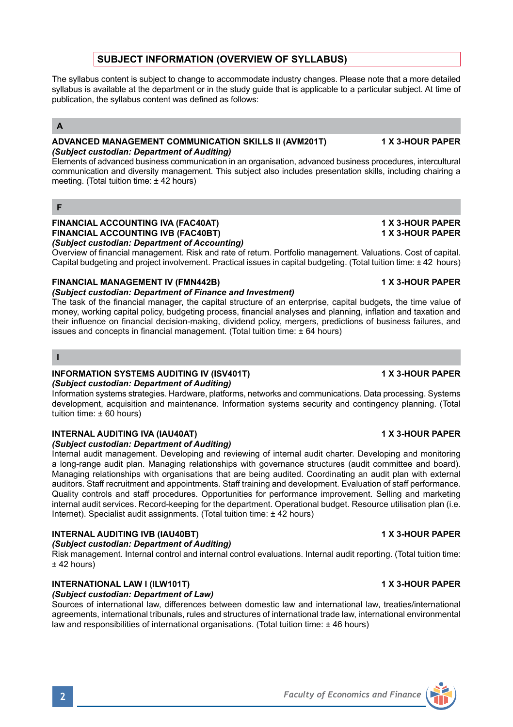# **SUBJECT INFORMATION (OVERVIEW OF SYLLABUS)**

The syllabus content is subject to change to accommodate industry changes. Please note that a more detailed syllabus is available at the department or in the study guide that is applicable to a particular subject. At time of publication, the syllabus content was defined as follows:

## **A**

#### **ADVANCED MANAGEMENT COMMUNICATION SKILLS II (AVM201T) 1 X 3-HOUR PAPER** *(Subject custodian: Department of Auditing)*

Elements of advanced business communication in an organisation, advanced business procedures, intercultural communication and diversity management. This subject also includes presentation skills, including chairing a meeting. (Total tuition time: ± 42 hours)

### **F**

#### **FINANCIAL ACCOUNTING IVA (FAC40AT) 1 X 3-HOUR PAPER FINANCIAL ACCOUNTING IVB (FAC40BT)** *(Subject custodian: Department of Accounting)*

Overview of financial management. Risk and rate of return. Portfolio management. Valuations. Cost of capital. Capital budgeting and project involvement. Practical issues in capital budgeting. (Total tuition time: ± 42 hours)

### **FINANCIAL MANAGEMENT IV (FMN442B) 1 X 3-HOUR PAPER**

#### *(Subject custodian: Department of Finance and Investment)*

The task of the financial manager, the capital structure of an enterprise, capital budgets, the time value of money, working capital policy, budgeting process, financial analyses and planning, inflation and taxation and their influence on financial decision-making, dividend policy, mergers, predictions of business failures, and issues and concepts in financial management. (Total tuition time: ± 64 hours)

### **I**

### **INFORMATION SYSTEMS AUDITING IV (ISV401T) 1 X 3-HOUR PAPER**

### *(Subject custodian: Department of Auditing)*

Information systems strategies. Hardware, platforms, networks and communications. Data processing. Systems development, acquisition and maintenance. Information systems security and contingency planning. (Total tuition time: ± 60 hours)

### **INTERNAL AUDITING IVA (IAU40AT) 1 X 3-HOUR PAPER**

#### *(Subject custodian: Department of Auditing)*

Internal audit management. Developing and reviewing of internal audit charter. Developing and monitoring a long-range audit plan. Managing relationships with governance structures (audit committee and board). Managing relationships with organisations that are being audited. Coordinating an audit plan with external auditors. Staff recruitment and appointments. Staff training and development. Evaluation of staff performance. Quality controls and staff procedures. Opportunities for performance improvement. Selling and marketing internal audit services. Record-keeping for the department. Operational budget. Resource utilisation plan (i.e. Internet). Specialist audit assignments. (Total tuition time: ± 42 hours)

#### **INTERNAL AUDITING IVB (IAU40BT) 1 X 3-HOUR PAPER** *(Subject custodian: Department of Auditing)*

Risk management. Internal control and internal control evaluations. Internal audit reporting. (Total tuition time:  $+42$  hours)

### **INTERNATIONAL LAW I (ILW101T) 1 X 3-HOUR PAPER**

### *(Subject custodian: Department of Law)*

Sources of international law, differences between domestic law and international law, treaties/international agreements, international tribunals, rules and structures of international trade law, international environmental law and responsibilities of international organisations. (Total tuition time: ± 46 hours)